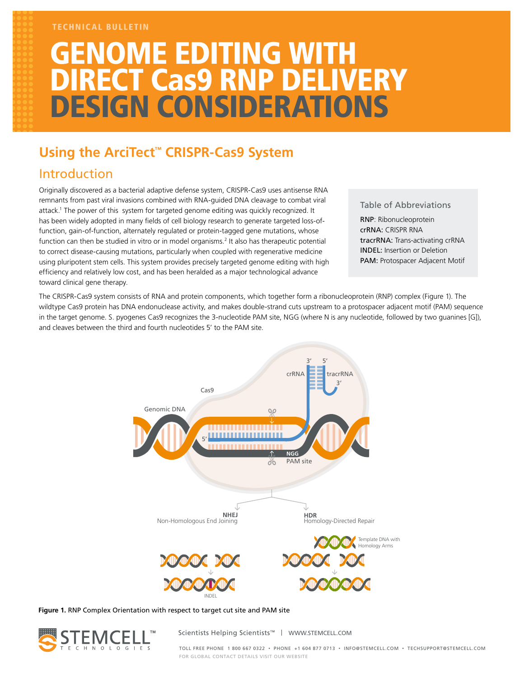### TECHNICAL BULLETIN

# **GENOME EDITING WITH** DIRECT Cas9 RNP DELIVERY DESIGN CONSIDERATIONS

# **Using the ArciTect™ CRISPR-Cas9 System**

# Introduction

Originally discovered as a bacterial adaptive defense system, CRISPR-Cas9 uses antisense RNA remnants from past viral invasions combined with RNA-guided DNA cleavage to combat viral attack.1 The power of this system for targeted genome editing was quickly recognized. It has been widely adopted in many fields of cell biology research to generate targeted loss-offunction, gain-of-function, alternately regulated or protein-tagged gene mutations, whose function can then be studied in vitro or in model organisms.<sup>2</sup> It also has therapeutic potential to correct disease-causing mutations, particularly when coupled with regenerative medicine using pluripotent stem cells. This system provides precisely targeted genome editing with high efficiency and relatively low cost, and has been heralded as a major technological advance toward clinical gene therapy.

## Table of Abbreviations

RNP: Ribonucleoprotein crRNA: CRISPR RNA tracrRNA: Trans-activating crRNA INDEL: Insertion or Deletion PAM: Protospacer Adjacent Motif

The CRISPR-Cas9 system consists of RNA and protein components, which together form a ribonucleoprotein (RNP) complex (Figure 1). The wildtype Cas9 protein has DNA endonuclease activity, and makes double-strand cuts upstream to a protospacer adjacent motif (PAM) sequence in the target genome. S. pyogenes Cas9 recognizes the 3-nucleotide PAM site, NGG (where N is any nucleotide, followed by two guanines [G]), and cleaves between the third and fourth nucleotides 5' to the PAM site.



**Figure 1.** RNP Complex Orientation with respect to target cut site and PAM site



Scientists Helping Scientists™ | WWW.STEMCELL.COM

TOLL FREE PHONE 1 800 667 0322 • PHONE +1 604 877 0713 • INFO@STEMCELL.COM • TECHSUPPORT@STEMCELL.COM FOR GLOBAL CONTACT DETAILS VISIT OUR WEBSITE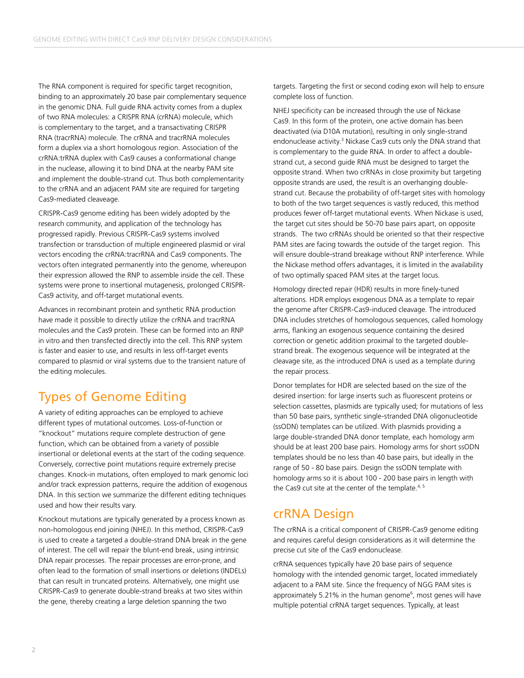The RNA component is required for specific target recognition, binding to an approximately 20 base pair complementary sequence in the genomic DNA. Full guide RNA activity comes from a duplex of two RNA molecules: a CRISPR RNA (crRNA) molecule, which is complementary to the target, and a transactivating CRISPR RNA (tracrRNA) molecule. The crRNA and tracrRNA molecules form a duplex via a short homologous region. Association of the crRNA:trRNA duplex with Cas9 causes a conformational change in the nuclease, allowing it to bind DNA at the nearby PAM site and implement the double-strand cut. Thus both complementarity to the crRNA and an adjacent PAM site are required for targeting Cas9-mediated cleaveage.

CRISPR-Cas9 genome editing has been widely adopted by the research community, and application of the technology has progressed rapidly. Previous CRISPR-Cas9 systems involved transfection or transduction of multiple engineered plasmid or viral vectors encoding the crRNA:tracrRNA and Cas9 components. The vectors often integrated permanently into the genome, whereupon their expression allowed the RNP to assemble inside the cell. These systems were prone to insertional mutagenesis, prolonged CRISPR-Cas9 activity, and off-target mutational events.

Advances in recombinant protein and synthetic RNA production have made it possible to directly utilize the crRNA and tracrRNA molecules and the Cas9 protein. These can be formed into an RNP in vitro and then transfected directly into the cell. This RNP system is faster and easier to use, and results in less off-target events compared to plasmid or viral systems due to the transient nature of the editing molecules.

# Types of Genome Editing

A variety of editing approaches can be employed to achieve different types of mutational outcomes. Loss-of-function or "knockout" mutations require complete destruction of gene function, which can be obtained from a variety of possible insertional or deletional events at the start of the coding sequence. Conversely, corrective point mutations require extremely precise changes. Knock-in mutations, often employed to mark genomic loci and/or track expression patterns, require the addition of exogenous DNA. In this section we summarize the different editing techniques used and how their results vary.

Knockout mutations are typically generated by a process known as non-homologous end joining (NHEJ). In this method, CRISPR-Cas9 is used to create a targeted a double-strand DNA break in the gene of interest. The cell will repair the blunt-end break, using intrinsic DNA repair processes. The repair processes are error-prone, and often lead to the formation of small insertions or deletions (INDELs) that can result in truncated proteins. Alternatively, one might use CRISPR-Cas9 to generate double-strand breaks at two sites within the gene, thereby creating a large deletion spanning the two

targets. Targeting the first or second coding exon will help to ensure complete loss of function.

NHEJ specificity can be increased through the use of Nickase Cas9. In this form of the protein, one active domain has been deactivated (via D10A mutation), resulting in only single-strand endonuclease activity.<sup>3</sup> Nickase Cas9 cuts only the DNA strand that is complementary to the guide RNA. In order to affect a doublestrand cut, a second guide RNA must be designed to target the opposite strand. When two crRNAs in close proximity but targeting opposite strands are used, the result is an overhanging doublestrand cut. Because the probability of off-target sites with homology to both of the two target sequences is vastly reduced, this method produces fewer off-target mutational events. When Nickase is used, the target cut sites should be 50-70 base pairs apart, on opposite strands. The two crRNAs should be oriented so that their respective PAM sites are facing towards the outside of the target region. This will ensure double-strand breakage without RNP interference. While the Nickase method offers advantages, it is limited in the availability of two optimally spaced PAM sites at the target locus.

Homology directed repair (HDR) results in more finely-tuned alterations. HDR employs exogenous DNA as a template to repair the genome after CRISPR-Cas9-induced cleavage. The introduced DNA includes stretches of homologous sequences, called homology arms, flanking an exogenous sequence containing the desired correction or genetic addition proximal to the targeted doublestrand break. The exogenous sequence will be integrated at the cleavage site, as the introduced DNA is used as a template during the repair process.

Donor templates for HDR are selected based on the size of the desired insertion: for large inserts such as fluorescent proteins or selection cassettes, plasmids are typically used; for mutations of less than 50 base pairs, synthetic single-stranded DNA oligonucleotide (ssODN) templates can be utilized. With plasmids providing a large double-stranded DNA donor template, each homology arm should be at least 200 base pairs. Homology arms for short ssODN templates should be no less than 40 base pairs, but ideally in the range of 50 - 80 base pairs. Design the ssODN template with homology arms so it is about 100 - 200 base pairs in length with the Cas9 cut site at the center of the template. $4,5$ 

# crRNA Design

The crRNA is a critical component of CRISPR-Cas9 genome editing and requires careful design considerations as it will determine the precise cut site of the Cas9 endonuclease.

crRNA sequences typically have 20 base pairs of sequence homology with the intended genomic target, located immediately adjacent to a PAM site. Since the frequency of NGG PAM sites is approximately 5.21% in the human genome<sup>6</sup>, most genes will have multiple potential crRNA target sequences. Typically, at least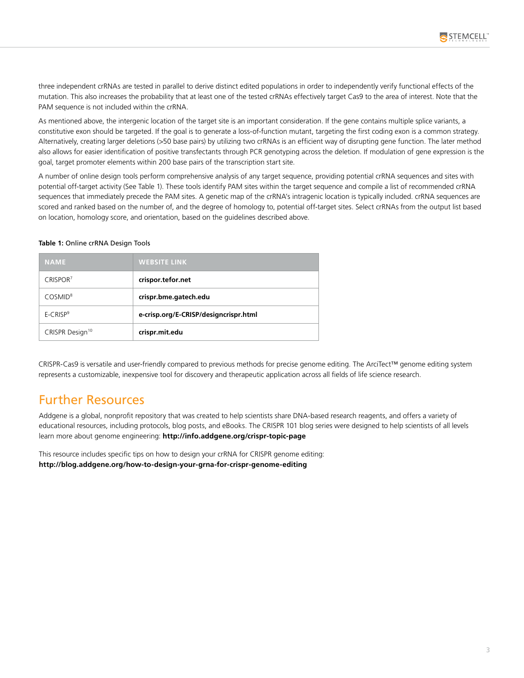three independent crRNAs are tested in parallel to derive distinct edited populations in order to independently verify functional effects of the mutation. This also increases the probability that at least one of the tested crRNAs effectively target Cas9 to the area of interest. Note that the PAM sequence is not included within the crRNA.

As mentioned above, the intergenic location of the target site is an important consideration. If the gene contains multiple splice variants, a constitutive exon should be targeted. If the goal is to generate a loss-of-function mutant, targeting the first coding exon is a common strategy. Alternatively, creating larger deletions (>50 base pairs) by utilizing two crRNAs is an efficient way of disrupting gene function. The later method also allows for easier identification of positive transfectants through PCR genotyping across the deletion. If modulation of gene expression is the goal, target promoter elements within 200 base pairs of the transcription start site.

A number of online design tools perform comprehensive analysis of any target sequence, providing potential crRNA sequences and sites with potential off-target activity (See Table 1). These tools identify PAM sites within the target sequence and compile a list of recommended crRNA sequences that immediately precede the PAM sites. A genetic map of the crRNA's intragenic location is typically included. crRNA sequences are scored and ranked based on the number of, and the degree of homology to, potential off-target sites. Select crRNAs from the output list based on location, homology score, and orientation, based on the guidelines described above.

#### **Table 1:** Online crRNA Design Tools

| <b>NAME</b>                 | <b>WEBSITE LINK</b>                   |
|-----------------------------|---------------------------------------|
| CRISPOR <sup>7</sup>        | crispor.tefor.net                     |
| COSMID <sup>8</sup>         | crispr.bme.gatech.edu                 |
| $E-CRISP9$                  | e-crisp.org/E-CRISP/designcrispr.html |
| CRISPR Design <sup>10</sup> | crispr.mit.edu                        |

CRISPR-Cas9 is versatile and user-friendly compared to previous methods for precise genome editing. The ArciTect™ genome editing system represents a customizable, inexpensive tool for discovery and therapeutic application across all fields of life science research.

## Further Resources

Addgene is a global, nonprofit repository that was created to help scientists share DNA-based research reagents, and offers a variety of educational resources, including protocols, blog posts, and eBooks. The CRISPR 101 blog series were designed to help scientists of all levels learn more about genome engineering: **http://info.addgene.org/crispr-topic-page**

This resource includes specific tips on how to design your crRNA for CRISPR genome editing: **http://blog.addgene.org/how-to-design-your-grna-for-crispr-genome-editing**